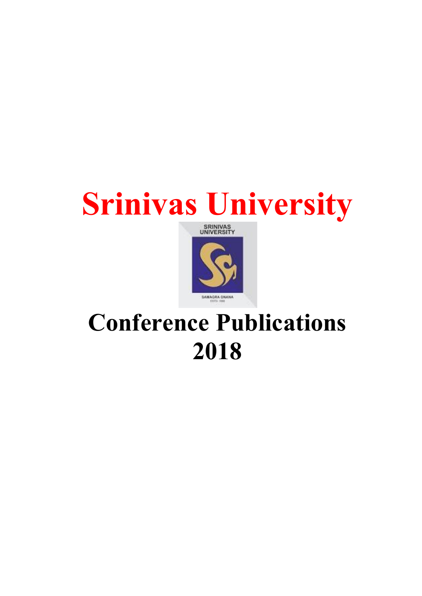## Srinivas University



## Conference Publications 2018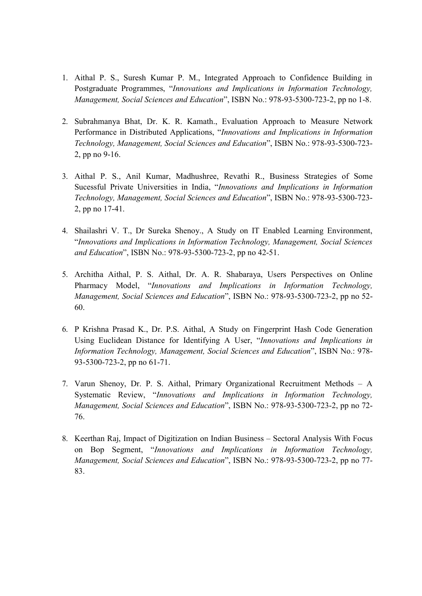- 1. Aithal P. S., Suresh Kumar P. M., Integrated Approach to Confidence Building in Postgraduate Programmes, "Innovations and Implications in Information Technology, Management, Social Sciences and Education", ISBN No.: 978-93-5300-723-2, pp no 1-8.
- 2. Subrahmanya Bhat, Dr. K. R. Kamath., Evaluation Approach to Measure Network Performance in Distributed Applications, "Innovations and Implications in Information Technology, Management, Social Sciences and Education", ISBN No.: 978-93-5300-723- 2, pp no 9-16.
- 3. Aithal P. S., Anil Kumar, Madhushree, Revathi R., Business Strategies of Some Sucessful Private Universities in India, "Innovations and Implications in Information Technology, Management, Social Sciences and Education", ISBN No.: 978-93-5300-723- 2, pp no 17-41.
- 4. Shailashri V. T., Dr Sureka Shenoy., A Study on IT Enabled Learning Environment, "Innovations and Implications in Information Technology, Management, Social Sciences and Education", ISBN No.: 978-93-5300-723-2, pp no 42-51.
- 5. Architha Aithal, P. S. Aithal, Dr. A. R. Shabaraya, Users Perspectives on Online Pharmacy Model, "Innovations and Implications in Information Technology, Management, Social Sciences and Education", ISBN No.: 978-93-5300-723-2, pp no 52- 60.
- 6. P Krishna Prasad K., Dr. P.S. Aithal, A Study on Fingerprint Hash Code Generation Using Euclidean Distance for Identifying A User, "Innovations and Implications in Information Technology, Management, Social Sciences and Education", ISBN No.: 978- 93-5300-723-2, pp no 61-71.
- 7. Varun Shenoy, Dr. P. S. Aithal, Primary Organizational Recruitment Methods A Systematic Review, "Innovations and Implications in Information Technology, Management, Social Sciences and Education", ISBN No.: 978-93-5300-723-2, pp no 72- 76.
- 8. Keerthan Raj, Impact of Digitization on Indian Business Sectoral Analysis With Focus on Bop Segment, "Innovations and Implications in Information Technology, Management, Social Sciences and Education", ISBN No.: 978-93-5300-723-2, pp no 77- 83.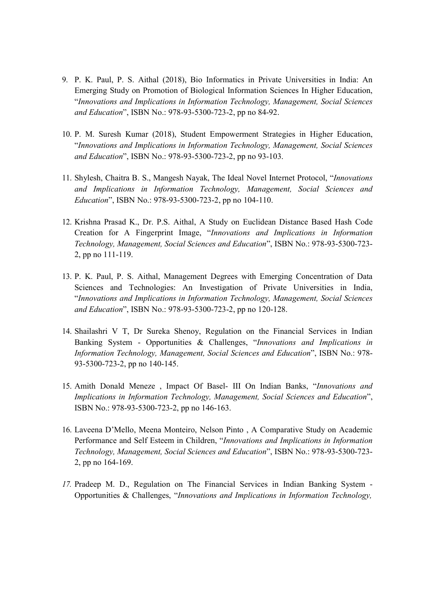- 9. P. K. Paul, P. S. Aithal (2018), Bio Informatics in Private Universities in India: An Emerging Study on Promotion of Biological Information Sciences In Higher Education, "Innovations and Implications in Information Technology, Management, Social Sciences and Education", ISBN No.: 978-93-5300-723-2, pp no 84-92.
- 10. P. M. Suresh Kumar (2018), Student Empowerment Strategies in Higher Education, "Innovations and Implications in Information Technology, Management, Social Sciences and Education", ISBN No.: 978-93-5300-723-2, pp no 93-103.
- 11. Shylesh, Chaitra B. S., Mangesh Nayak, The Ideal Novel Internet Protocol, "Innovations and Implications in Information Technology, Management, Social Sciences and Education", ISBN No.: 978-93-5300-723-2, pp no 104-110.
- 12. Krishna Prasad K., Dr. P.S. Aithal, A Study on Euclidean Distance Based Hash Code Creation for A Fingerprint Image, "Innovations and Implications in Information Technology, Management, Social Sciences and Education", ISBN No.: 978-93-5300-723- 2, pp no 111-119.
- 13. P. K. Paul, P. S. Aithal, Management Degrees with Emerging Concentration of Data Sciences and Technologies: An Investigation of Private Universities in India, "Innovations and Implications in Information Technology, Management, Social Sciences and Education", ISBN No.: 978-93-5300-723-2, pp no 120-128.
- 14. Shailashri V T, Dr Sureka Shenoy, Regulation on the Financial Services in Indian Banking System - Opportunities & Challenges, "Innovations and Implications in Information Technology, Management, Social Sciences and Education", ISBN No.: 978- 93-5300-723-2, pp no 140-145.
- 15. Amith Donald Meneze , Impact Of Basel- III On Indian Banks, "Innovations and Implications in Information Technology, Management, Social Sciences and Education", ISBN No.: 978-93-5300-723-2, pp no 146-163.
- 16. Laveena D'Mello, Meena Monteiro, Nelson Pinto , A Comparative Study on Academic Performance and Self Esteem in Children, "Innovations and Implications in Information Technology, Management, Social Sciences and Education", ISBN No.: 978-93-5300-723- 2, pp no 164-169.
- 17. Pradeep M. D., Regulation on The Financial Services in Indian Banking System Opportunities & Challenges, "Innovations and Implications in Information Technology,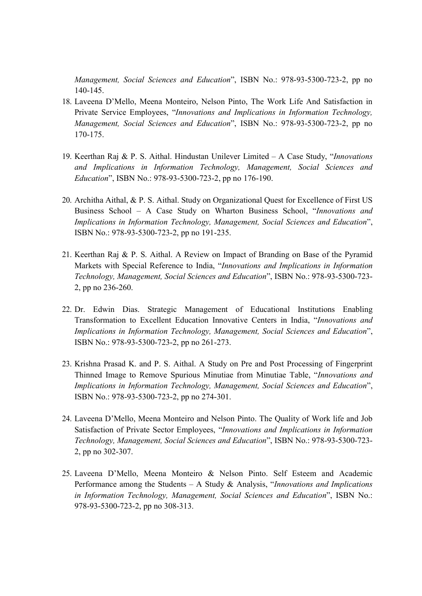Management, Social Sciences and Education", ISBN No.: 978-93-5300-723-2, pp no 140-145.

- 18. Laveena D'Mello, Meena Monteiro, Nelson Pinto, The Work Life And Satisfaction in Private Service Employees, "Innovations and Implications in Information Technology, Management, Social Sciences and Education", ISBN No.: 978-93-5300-723-2, pp no 170-175.
- 19. Keerthan Raj & P. S. Aithal. Hindustan Unilever Limited A Case Study, "*Innovations* and Implications in Information Technology, Management, Social Sciences and Education", ISBN No.: 978-93-5300-723-2, pp no 176-190.
- 20. Architha Aithal, & P. S. Aithal. Study on Organizational Quest for Excellence of First US Business School – A Case Study on Wharton Business School, "Innovations and Implications in Information Technology, Management, Social Sciences and Education", ISBN No.: 978-93-5300-723-2, pp no 191-235.
- 21. Keerthan Raj & P. S. Aithal. A Review on Impact of Branding on Base of the Pyramid Markets with Special Reference to India, "Innovations and Implications in Information Technology, Management, Social Sciences and Education", ISBN No.: 978-93-5300-723- 2, pp no 236-260.
- 22. Dr. Edwin Dias. Strategic Management of Educational Institutions Enabling Transformation to Excellent Education Innovative Centers in India, "Innovations and Implications in Information Technology, Management, Social Sciences and Education", ISBN No.: 978-93-5300-723-2, pp no 261-273.
- 23. Krishna Prasad K. and P. S. Aithal. A Study on Pre and Post Processing of Fingerprint Thinned Image to Remove Spurious Minutiae from Minutiae Table, "Innovations and Implications in Information Technology, Management, Social Sciences and Education", ISBN No.: 978-93-5300-723-2, pp no 274-301.
- 24. Laveena D'Mello, Meena Monteiro and Nelson Pinto. The Quality of Work life and Job Satisfaction of Private Sector Employees, "Innovations and Implications in Information Technology, Management, Social Sciences and Education", ISBN No.: 978-93-5300-723- 2, pp no 302-307.
- 25. Laveena D'Mello, Meena Monteiro & Nelson Pinto. Self Esteem and Academic Performance among the Students – A Study & Analysis, "*Innovations and Implications* in Information Technology, Management, Social Sciences and Education", ISBN No.: 978-93-5300-723-2, pp no 308-313.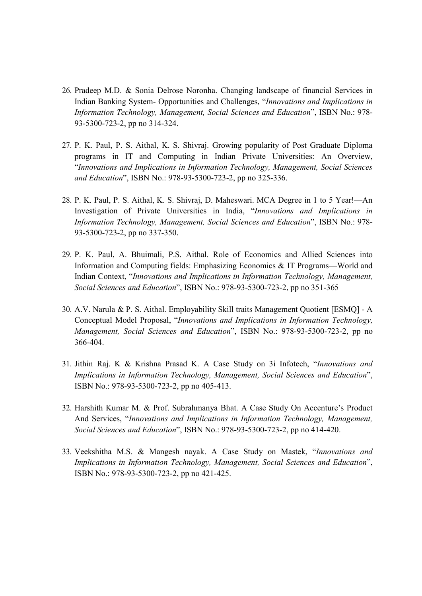- 26. Pradeep M.D. & Sonia Delrose Noronha. Changing landscape of financial Services in Indian Banking System- Opportunities and Challenges, "Innovations and Implications in Information Technology, Management, Social Sciences and Education", ISBN No.: 978- 93-5300-723-2, pp no 314-324.
- 27. P. K. Paul, P. S. Aithal, K. S. Shivraj. Growing popularity of Post Graduate Diploma programs in IT and Computing in Indian Private Universities: An Overview, "Innovations and Implications in Information Technology, Management, Social Sciences and Education", ISBN No.: 978-93-5300-723-2, pp no 325-336.
- 28. P. K. Paul, P. S. Aithal, K. S. Shivraj, D. Maheswari. MCA Degree in 1 to 5 Year!—An Investigation of Private Universities in India, "Innovations and Implications in Information Technology, Management, Social Sciences and Education", ISBN No.: 978- 93-5300-723-2, pp no 337-350.
- 29. P. K. Paul, A. Bhuimali, P.S. Aithal. Role of Economics and Allied Sciences into Information and Computing fields: Emphasizing Economics & IT Programs—World and Indian Context, "Innovations and Implications in Information Technology, Management, Social Sciences and Education", ISBN No.: 978-93-5300-723-2, pp no 351-365
- 30. A.V. Narula & P. S. Aithal. Employability Skill traits Management Quotient [ESMQ] A Conceptual Model Proposal, "Innovations and Implications in Information Technology, Management, Social Sciences and Education", ISBN No.: 978-93-5300-723-2, pp no 366-404.
- 31. Jithin Raj. K & Krishna Prasad K. A Case Study on 3i Infotech, "Innovations and Implications in Information Technology, Management, Social Sciences and Education", ISBN No.: 978-93-5300-723-2, pp no 405-413.
- 32. Harshith Kumar M. & Prof. Subrahmanya Bhat. A Case Study On Accenture's Product And Services, "Innovations and Implications in Information Technology, Management, Social Sciences and Education", ISBN No.: 978-93-5300-723-2, pp no 414-420.
- 33. Veekshitha M.S. & Mangesh nayak. A Case Study on Mastek, "Innovations and Implications in Information Technology, Management, Social Sciences and Education", ISBN No.: 978-93-5300-723-2, pp no 421-425.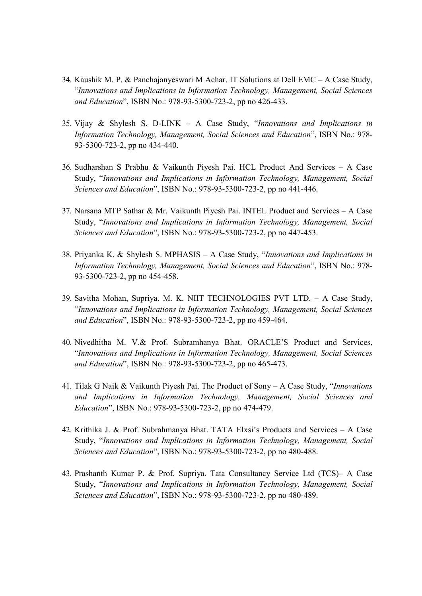- 34. Kaushik M. P. & Panchajanyeswari M Achar. IT Solutions at Dell EMC A Case Study, "Innovations and Implications in Information Technology, Management, Social Sciences and Education", ISBN No.: 978-93-5300-723-2, pp no 426-433.
- 35. Vijay & Shylesh S. D-LINK A Case Study, "Innovations and Implications in Information Technology, Management, Social Sciences and Education", ISBN No.: 978- 93-5300-723-2, pp no 434-440.
- 36. Sudharshan S Prabhu & Vaikunth Piyesh Pai. HCL Product And Services A Case Study, "Innovations and Implications in Information Technology, Management, Social Sciences and Education", ISBN No.: 978-93-5300-723-2, pp no 441-446.
- 37. Narsana MTP Sathar & Mr. Vaikunth Piyesh Pai. INTEL Product and Services A Case Study, "Innovations and Implications in Information Technology, Management, Social Sciences and Education", ISBN No.: 978-93-5300-723-2, pp no 447-453.
- 38. Priyanka K. & Shylesh S. MPHASIS A Case Study, "Innovations and Implications in Information Technology, Management, Social Sciences and Education", ISBN No.: 978- 93-5300-723-2, pp no 454-458.
- 39. Savitha Mohan, Supriya. M. K. NIIT TECHNOLOGIES PVT LTD. A Case Study, "Innovations and Implications in Information Technology, Management, Social Sciences and Education", ISBN No.: 978-93-5300-723-2, pp no 459-464.
- 40. Nivedhitha M. V.& Prof. Subramhanya Bhat. ORACLE'S Product and Services, "Innovations and Implications in Information Technology, Management, Social Sciences and Education", ISBN No.: 978-93-5300-723-2, pp no 465-473.
- 41. Tilak G Naik & Vaikunth Piyesh Pai. The Product of Sony A Case Study, "Innovations and Implications in Information Technology, Management, Social Sciences and Education", ISBN No.: 978-93-5300-723-2, pp no 474-479.
- 42. Krithika J. & Prof. Subrahmanya Bhat. TATA Elxsi's Products and Services A Case Study, "Innovations and Implications in Information Technology, Management, Social Sciences and Education", ISBN No.: 978-93-5300-723-2, pp no 480-488.
- 43. Prashanth Kumar P. & Prof. Supriya. Tata Consultancy Service Ltd (TCS)– A Case Study, "Innovations and Implications in Information Technology, Management, Social Sciences and Education", ISBN No.: 978-93-5300-723-2, pp no 480-489.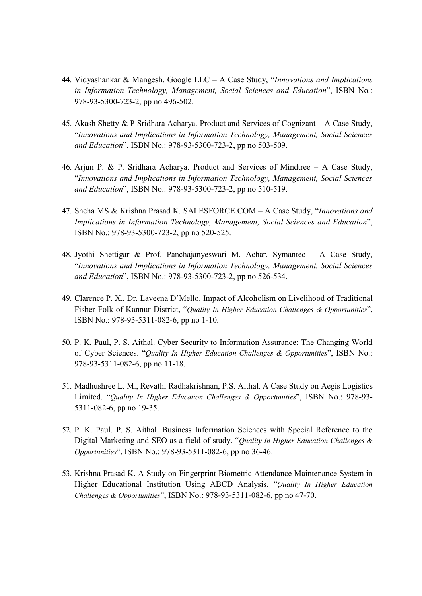- 44. Vidyashankar & Mangesh. Google  $LLC A$  Case Study, "*Innovations and Implications* in Information Technology, Management, Social Sciences and Education", ISBN No.: 978-93-5300-723-2, pp no 496-502.
- 45. Akash Shetty & P Sridhara Acharya. Product and Services of Cognizant A Case Study, "Innovations and Implications in Information Technology, Management, Social Sciences and Education", ISBN No.: 978-93-5300-723-2, pp no 503-509.
- 46. Arjun P. & P. Sridhara Acharya. Product and Services of Mindtree A Case Study, "Innovations and Implications in Information Technology, Management, Social Sciences and Education", ISBN No.: 978-93-5300-723-2, pp no 510-519.
- 47. Sneha MS & Krishna Prasad K. SALESFORCE.COM A Case Study, "Innovations and Implications in Information Technology, Management, Social Sciences and Education", ISBN No.: 978-93-5300-723-2, pp no 520-525.
- 48. Jyothi Shettigar & Prof. Panchajanyeswari M. Achar. Symantec A Case Study, "Innovations and Implications in Information Technology, Management, Social Sciences and Education", ISBN No.: 978-93-5300-723-2, pp no 526-534.
- 49. Clarence P. X., Dr. Laveena D'Mello. Impact of Alcoholism on Livelihood of Traditional Fisher Folk of Kannur District, "Quality In Higher Education Challenges & Opportunities", ISBN No.: 978-93-5311-082-6, pp no 1-10.
- 50. P. K. Paul, P. S. Aithal. Cyber Security to Information Assurance: The Changing World of Cyber Sciences. "Quality In Higher Education Challenges & Opportunities", ISBN No.: 978-93-5311-082-6, pp no 11-18.
- 51. Madhushree L. M., Revathi Radhakrishnan, P.S. Aithal. A Case Study on Aegis Logistics Limited. "Quality In Higher Education Challenges & Opportunities", ISBN No.: 978-93- 5311-082-6, pp no 19-35.
- 52. P. K. Paul, P. S. Aithal. Business Information Sciences with Special Reference to the Digital Marketing and SEO as a field of study. "Quality In Higher Education Challenges & Opportunities", ISBN No.: 978-93-5311-082-6, pp no 36-46.
- 53. Krishna Prasad K. A Study on Fingerprint Biometric Attendance Maintenance System in Higher Educational Institution Using ABCD Analysis. "Quality In Higher Education Challenges & Opportunities", ISBN No.: 978-93-5311-082-6, pp no 47-70.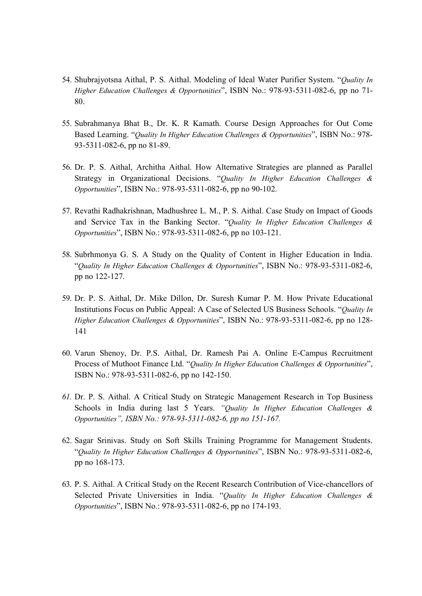- 54. Shubrajyotsna Aithal, P. S. Aithal. Modeling of Ideal Water Purifier System. "Quality In Higher Education Challenges & Opportunities", ISBN No.: 978-93-5311-082-6, pp no 71- 80.
- 55. Subrahmanya Bhat B., Dr. K. R Kamath. Course Design Approaches for Out Come Based Learning. "Quality In Higher Education Challenges & Opportunities", ISBN No.: 978- 93-5311-082-6, pp no 81-89.
- 56. Dr. P. S. Aithal, Architha Aithal. How Alternative Strategies are planned as Parallel Strategy in Organizational Decisions. "Quality In Higher Education Challenges & Opportunities", ISBN No.: 978-93-5311-082-6, pp no 90-102.
- 57. Revathi Radhakrishnan, Madhushree L. M., P. S. Aithal. Case Study on Impact of Goods and Service Tax in the Banking Sector. "Quality In Higher Education Challenges & Opportunities", ISBN No.: 978-93-5311-082-6, pp no 103-121.
- 58. Subrhmonya G. S. A Study on the Quality of Content in Higher Education in India. "Quality In Higher Education Challenges & Opportunities", ISBN No.: 978-93-5311-082-6, pp no 122-127.
- 59. Dr. P. S. Aithal, Dr. Mike Dillon, Dr. Suresh Kumar P. M. How Private Educational Institutions Focus on Public Appeal: A Case of Selected US Business Schools. "Quality In Higher Education Challenges & Opportunities", ISBN No.: 978-93-5311-082-6, pp no 128- 141
- 60. Varun Shenoy, Dr. P.S. Aithal, Dr. Ramesh Pai A. Online E-Campus Recruitment Process of Muthoot Finance Ltd. "Quality In Higher Education Challenges & Opportunities", ISBN No.: 978-93-5311-082-6, pp no 142-150.
- 61. Dr. P. S. Aithal. A Critical Study on Strategic Management Research in Top Business Schools in India during last 5 Years. "Quality In Higher Education Challenges & Opportunities", ISBN No.: 978-93-5311-082-6, pp no 151-167.
- 62. Sagar Srinivas. Study on Soft Skills Training Programme for Management Students. "Quality In Higher Education Challenges & Opportunities", ISBN No.: 978-93-5311-082-6, pp no 168-173.
- 63. P. S. Aithal. A Critical Study on the Recent Research Contribution of Vice-chancellors of Selected Private Universities in India. "Quality In Higher Education Challenges & Opportunities", ISBN No.: 978-93-5311-082-6, pp no 174-193.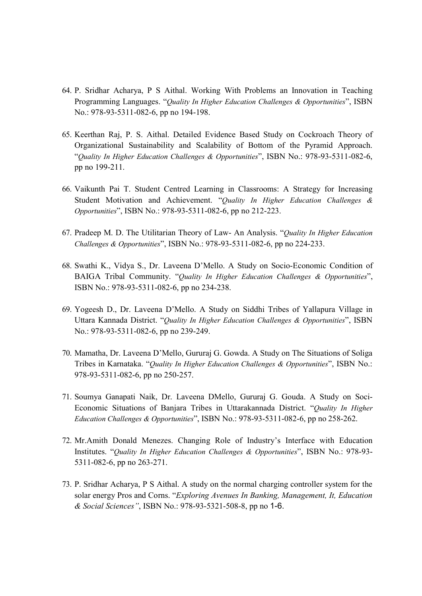- 64. P. Sridhar Acharya, P S Aithal. Working With Problems an Innovation in Teaching Programming Languages. "Quality In Higher Education Challenges & Opportunities", ISBN No.: 978-93-5311-082-6, pp no 194-198.
- 65. Keerthan Raj, P. S. Aithal. Detailed Evidence Based Study on Cockroach Theory of Organizational Sustainability and Scalability of Bottom of the Pyramid Approach. "Quality In Higher Education Challenges & Opportunities", ISBN No.: 978-93-5311-082-6, pp no 199-211.
- 66. Vaikunth Pai T. Student Centred Learning in Classrooms: A Strategy for Increasing Student Motivation and Achievement. "Quality In Higher Education Challenges & Opportunities", ISBN No.: 978-93-5311-082-6, pp no 212-223.
- 67. Pradeep M. D. The Utilitarian Theory of Law- An Analysis. "Quality In Higher Education Challenges & Opportunities", ISBN No.: 978-93-5311-082-6, pp no 224-233.
- 68. Swathi K., Vidya S., Dr. Laveena D'Mello. A Study on Socio-Economic Condition of BAIGA Tribal Community. "Quality In Higher Education Challenges & Opportunities", ISBN No.: 978-93-5311-082-6, pp no 234-238.
- 69. Yogeesh D., Dr. Laveena D'Mello. A Study on Siddhi Tribes of Yallapura Village in Uttara Kannada District. "Quality In Higher Education Challenges & Opportunities", ISBN No.: 978-93-5311-082-6, pp no 239-249.
- 70. Mamatha, Dr. Laveena D'Mello, Gururaj G. Gowda. A Study on The Situations of Soliga Tribes in Karnataka. "Quality In Higher Education Challenges & Opportunities", ISBN No.: 978-93-5311-082-6, pp no 250-257.
- 71. Soumya Ganapati Naik, Dr. Laveena DMello, Gururaj G. Gouda. A Study on Soci-Economic Situations of Banjara Tribes in Uttarakannada District. "Quality In Higher Education Challenges & Opportunities", ISBN No.: 978-93-5311-082-6, pp no 258-262.
- 72. Mr.Amith Donald Menezes. Changing Role of Industry's Interface with Education Institutes. "Quality In Higher Education Challenges & Opportunities", ISBN No.: 978-93- 5311-082-6, pp no 263-271.
- 73. P. Sridhar Acharya, P S Aithal. A study on the normal charging controller system for the solar energy Pros and Corns. "Exploring Avenues In Banking, Management, It, Education & Social Sciences", ISBN No.: 978-93-5321-508-8, pp no 1-6.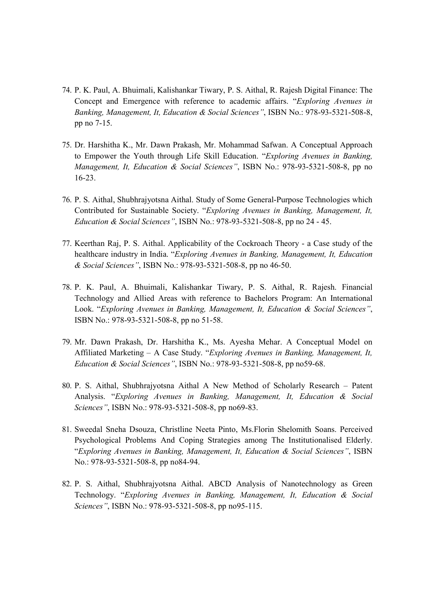- 74. P. K. Paul, A. Bhuimali, Kalishankar Tiwary, P. S. Aithal, R. Rajesh Digital Finance: The Concept and Emergence with reference to academic affairs. "Exploring Avenues in Banking, Management, It, Education & Social Sciences", ISBN No.: 978-93-5321-508-8, pp no 7-15.
- 75. Dr. Harshitha K., Mr. Dawn Prakash, Mr. Mohammad Safwan. A Conceptual Approach to Empower the Youth through Life Skill Education. "Exploring Avenues in Banking, Management, It, Education & Social Sciences", ISBN No.: 978-93-5321-508-8, pp no 16-23.
- 76. P. S. Aithal, Shubhrajyotsna Aithal. Study of Some General-Purpose Technologies which Contributed for Sustainable Society. "Exploring Avenues in Banking, Management, It, Education & Social Sciences", ISBN No.: 978-93-5321-508-8, pp no 24 - 45.
- 77. Keerthan Raj, P. S. Aithal. Applicability of the Cockroach Theory a Case study of the healthcare industry in India. "Exploring Avenues in Banking, Management, It, Education & Social Sciences", ISBN No.: 978-93-5321-508-8, pp no 46-50.
- 78. P. K. Paul, A. Bhuimali, Kalishankar Tiwary, P. S. Aithal, R. Rajesh. Financial Technology and Allied Areas with reference to Bachelors Program: An International Look. "Exploring Avenues in Banking, Management, It, Education & Social Sciences", ISBN No.: 978-93-5321-508-8, pp no 51-58.
- 79. Mr. Dawn Prakash, Dr. Harshitha K., Ms. Ayesha Mehar. A Conceptual Model on Affiliated Marketing – A Case Study. "Exploring Avenues in Banking, Management, It, Education & Social Sciences", ISBN No.: 978-93-5321-508-8, pp no59-68.
- 80. P. S. Aithal, Shubhrajyotsna Aithal A New Method of Scholarly Research Patent Analysis. "Exploring Avenues in Banking, Management, It, Education & Social Sciences", ISBN No.: 978-93-5321-508-8, pp no69-83.
- 81. Sweedal Sneha Dsouza, Christline Neeta Pinto, Ms.Florin Shelomith Soans. Perceived Psychological Problems And Coping Strategies among The Institutionalised Elderly. "Exploring Avenues in Banking, Management, It, Education & Social Sciences", ISBN No.: 978-93-5321-508-8, pp no84-94.
- 82. P. S. Aithal, Shubhrajyotsna Aithal. ABCD Analysis of Nanotechnology as Green Technology. "Exploring Avenues in Banking, Management, It, Education & Social Sciences", ISBN No.: 978-93-5321-508-8, pp no95-115.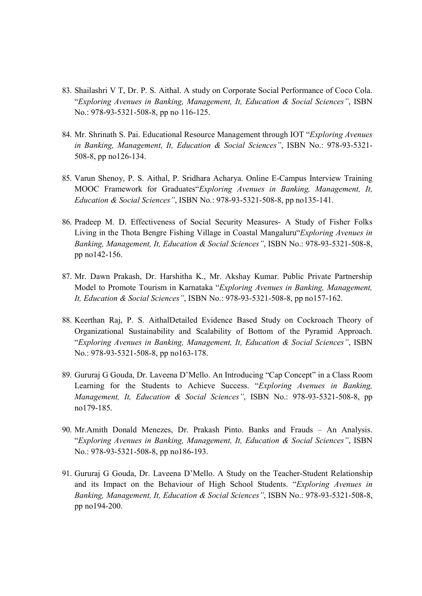- 83. Shailashri V T, Dr. P. S. Aithal. A study on Corporate Social Performance of Coco Cola. "Exploring Avenues in Banking, Management, It, Education & Social Sciences", ISBN No.: 978-93-5321-508-8, pp no 116-125.
- 84. Mr. Shrinath S. Pai. Educational Resource Management through IOT "Exploring Avenues" in Banking, Management, It, Education & Social Sciences", ISBN No.: 978-93-5321- 508-8, pp no126-134.
- 85. Varun Shenoy, P. S. Aithal, P. Sridhara Acharya. Online E-Campus Interview Training MOOC Framework for Graduates"Exploring Avenues in Banking, Management, It, Education & Social Sciences", ISBN No.: 978-93-5321-508-8, pp no135-141.
- 86. Pradeep M. D. Effectiveness of Social Security Measures- A Study of Fisher Folks Living in the Thota Bengre Fishing Village in Coastal Mangaluru"Exploring Avenues in Banking, Management, It, Education & Social Sciences", ISBN No.: 978-93-5321-508-8, pp no142-156.
- 87. Mr. Dawn Prakash, Dr. Harshitha K., Mr. Akshay Kumar. Public Private Partnership Model to Promote Tourism in Karnataka "Exploring Avenues in Banking, Management, It, Education & Social Sciences", ISBN No.: 978-93-5321-508-8, pp no157-162.
- 88. Keerthan Raj, P. S. AithalDetailed Evidence Based Study on Cockroach Theory of Organizational Sustainability and Scalability of Bottom of the Pyramid Approach. "Exploring Avenues in Banking, Management, It, Education & Social Sciences", ISBN No.: 978-93-5321-508-8, pp no163-178.
- 89. Gururaj G Gouda, Dr. Laveena D'Mello. An Introducing "Cap Concept" in a Class Room Learning for the Students to Achieve Success. "Exploring Avenues in Banking, Management, It, Education & Social Sciences", ISBN No.: 978-93-5321-508-8, pp no179-185.
- 90. Mr.Amith Donald Menezes, Dr. Prakash Pinto. Banks and Frauds An Analysis. "Exploring Avenues in Banking, Management, It, Education & Social Sciences", ISBN No.: 978-93-5321-508-8, pp no186-193.
- 91. Gururaj G Gouda, Dr. Laveena D'Mello. A Study on the Teacher-Student Relationship and its Impact on the Behaviour of High School Students. "Exploring Avenues in Banking, Management, It, Education & Social Sciences", ISBN No.: 978-93-5321-508-8, pp no194-200.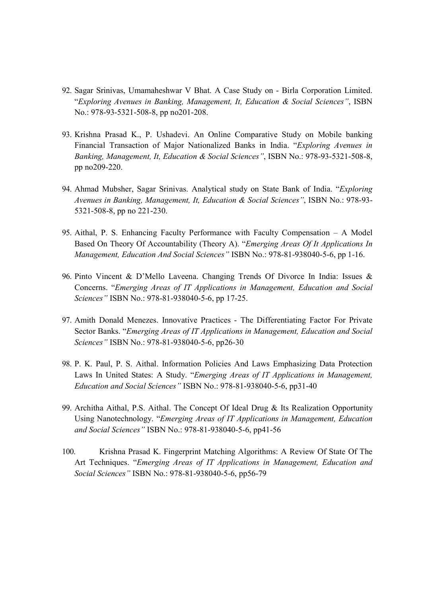- 92. Sagar Srinivas, Umamaheshwar V Bhat. A Case Study on Birla Corporation Limited. "Exploring Avenues in Banking, Management, It, Education & Social Sciences", ISBN No.: 978-93-5321-508-8, pp no201-208.
- 93. Krishna Prasad K., P. Ushadevi. An Online Comparative Study on Mobile banking Financial Transaction of Major Nationalized Banks in India. "Exploring Avenues in Banking, Management, It, Education & Social Sciences", ISBN No.: 978-93-5321-508-8, pp no209-220.
- 94. Ahmad Mubsher, Sagar Srinivas. Analytical study on State Bank of India. "Exploring Avenues in Banking, Management, It, Education & Social Sciences", ISBN No.: 978-93- 5321-508-8, pp no 221-230.
- 95. Aithal, P. S. Enhancing Faculty Performance with Faculty Compensation A Model Based On Theory Of Accountability (Theory A). "Emerging Areas Of It Applications In Management, Education And Social Sciences" ISBN No.: 978-81-938040-5-6, pp 1-16.
- 96. Pinto Vincent & D'Mello Laveena. Changing Trends Of Divorce In India: Issues & Concerns. "Emerging Areas of IT Applications in Management, Education and Social Sciences" ISBN No.: 978-81-938040-5-6, pp 17-25.
- 97. Amith Donald Menezes. Innovative Practices The Differentiating Factor For Private Sector Banks. "Emerging Areas of IT Applications in Management, Education and Social Sciences" ISBN No.: 978-81-938040-5-6, pp26-30
- 98. P. K. Paul, P. S. Aithal. Information Policies And Laws Emphasizing Data Protection Laws In United States: A Study. "Emerging Areas of IT Applications in Management, Education and Social Sciences" ISBN No.: 978-81-938040-5-6, pp31-40
- 99. Architha Aithal, P.S. Aithal. The Concept Of Ideal Drug & Its Realization Opportunity Using Nanotechnology. "Emerging Areas of IT Applications in Management, Education and Social Sciences" ISBN No.: 978-81-938040-5-6, pp41-56
- 100. Krishna Prasad K. Fingerprint Matching Algorithms: A Review Of State Of The Art Techniques. "Emerging Areas of IT Applications in Management, Education and Social Sciences" ISBN No.: 978-81-938040-5-6, pp56-79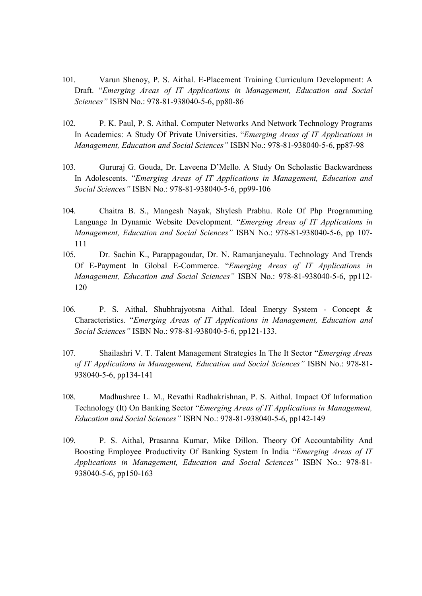- 101. Varun Shenoy, P. S. Aithal. E-Placement Training Curriculum Development: A Draft. "Emerging Areas of IT Applications in Management, Education and Social Sciences" ISBN No.: 978-81-938040-5-6, pp80-86
- 102. P. K. Paul, P. S. Aithal. Computer Networks And Network Technology Programs In Academics: A Study Of Private Universities. "Emerging Areas of IT Applications in Management, Education and Social Sciences" ISBN No.: 978-81-938040-5-6, pp87-98
- 103. Gururaj G. Gouda, Dr. Laveena D'Mello. A Study On Scholastic Backwardness In Adolescents. "Emerging Areas of IT Applications in Management, Education and Social Sciences" ISBN No.: 978-81-938040-5-6, pp99-106
- 104. Chaitra B. S., Mangesh Nayak, Shylesh Prabhu. Role Of Php Programming Language In Dynamic Website Development. "Emerging Areas of IT Applications in Management, Education and Social Sciences" ISBN No.: 978-81-938040-5-6, pp 107-111
- 105. Dr. Sachin K., Parappagoudar, Dr. N. Ramanjaneyalu. Technology And Trends Of E-Payment In Global E-Commerce. "Emerging Areas of IT Applications in Management, Education and Social Sciences" ISBN No.: 978-81-938040-5-6, pp112- 120
- 106. P. S. Aithal, Shubhrajyotsna Aithal. Ideal Energy System Concept & Characteristics. "Emerging Areas of IT Applications in Management, Education and Social Sciences" ISBN No.: 978-81-938040-5-6, pp121-133.
- 107. Shailashri V. T. Talent Management Strategies In The It Sector "Emerging Areas of IT Applications in Management, Education and Social Sciences" ISBN No.: 978-81- 938040-5-6, pp134-141
- 108. Madhushree L. M., Revathi Radhakrishnan, P. S. Aithal. Impact Of Information Technology (It) On Banking Sector "Emerging Areas of IT Applications in Management, Education and Social Sciences" ISBN No.: 978-81-938040-5-6, pp142-149
- 109. P. S. Aithal, Prasanna Kumar, Mike Dillon. Theory Of Accountability And Boosting Employee Productivity Of Banking System In India "Emerging Areas of IT Applications in Management, Education and Social Sciences" ISBN No.: 978-81- 938040-5-6, pp150-163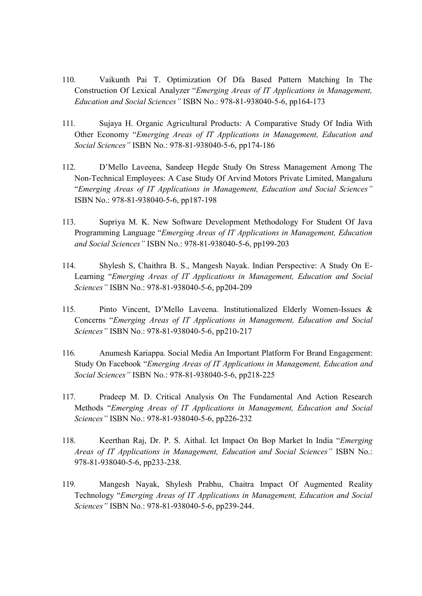- 110. Vaikunth Pai T. Optimization Of Dfa Based Pattern Matching In The Construction Of Lexical Analyzer "Emerging Areas of IT Applications in Management, Education and Social Sciences" ISBN No.: 978-81-938040-5-6, pp164-173
- 111. Sujaya H. Organic Agricultural Products: A Comparative Study Of India With Other Economy "Emerging Areas of IT Applications in Management, Education and Social Sciences" ISBN No.: 978-81-938040-5-6, pp174-186
- 112. D'Mello Laveena, Sandeep Hegde Study On Stress Management Among The Non-Technical Employees: A Case Study Of Arvind Motors Private Limited, Mangaluru "Emerging Areas of IT Applications in Management, Education and Social Sciences" ISBN No.: 978-81-938040-5-6, pp187-198
- 113. Supriya M. K. New Software Development Methodology For Student Of Java Programming Language "Emerging Areas of IT Applications in Management, Education and Social Sciences" ISBN No.: 978-81-938040-5-6, pp199-203
- 114. Shylesh S, Chaithra B. S., Mangesh Nayak. Indian Perspective: A Study On E-Learning "Emerging Areas of IT Applications in Management, Education and Social Sciences" ISBN No.: 978-81-938040-5-6, pp204-209
- 115. Pinto Vincent, D'Mello Laveena. Institutionalized Elderly Women-Issues & Concerns "Emerging Areas of IT Applications in Management, Education and Social Sciences" ISBN No.: 978-81-938040-5-6, pp210-217
- 116. Anumesh Kariappa. Social Media An Important Platform For Brand Engagement: Study On Facebook "Emerging Areas of IT Applications in Management, Education and Social Sciences" ISBN No.: 978-81-938040-5-6, pp218-225
- 117. Pradeep M. D. Critical Analysis On The Fundamental And Action Research Methods "Emerging Areas of IT Applications in Management, Education and Social Sciences" ISBN No.: 978-81-938040-5-6, pp226-232
- 118. Keerthan Raj, Dr. P. S. Aithal. Ict Impact On Bop Market In India "Emerging Areas of IT Applications in Management, Education and Social Sciences" ISBN No.: 978-81-938040-5-6, pp233-238.
- 119. Mangesh Nayak, Shylesh Prabhu, Chaitra Impact Of Augmented Reality Technology "Emerging Areas of IT Applications in Management, Education and Social Sciences" ISBN No.: 978-81-938040-5-6, pp239-244.